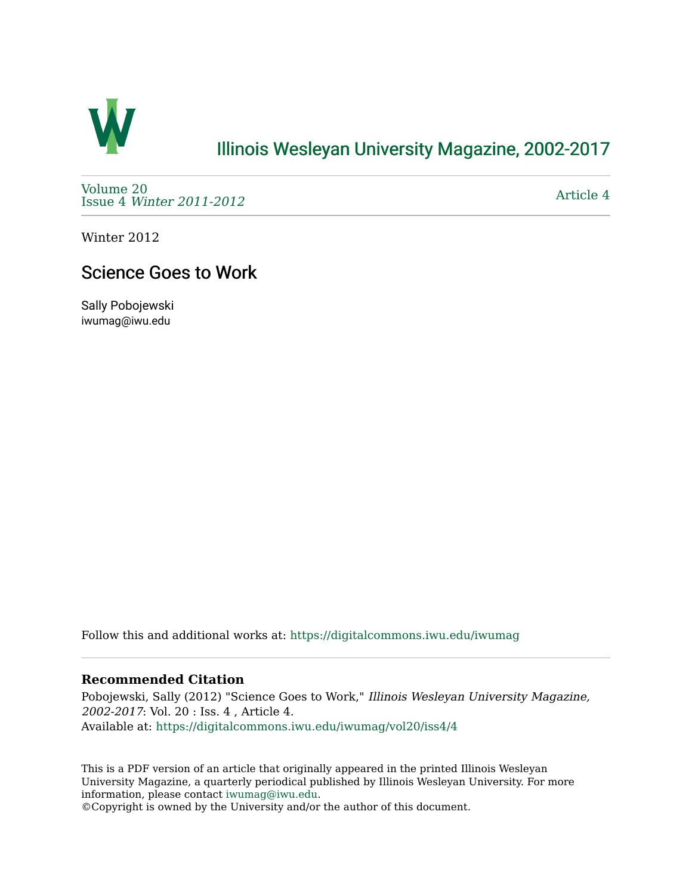

# [Illinois Wesleyan University Magazine, 2002-2017](https://digitalcommons.iwu.edu/iwumag)

[Volume 20](https://digitalcommons.iwu.edu/iwumag/vol20)  Issue 4 [Winter 2011-2012](https://digitalcommons.iwu.edu/iwumag/vol20/iss4)

[Article 4](https://digitalcommons.iwu.edu/iwumag/vol20/iss4/4) 

Winter 2012

## Science Goes to Work

Sally Pobojewski iwumag@iwu.edu

Follow this and additional works at: [https://digitalcommons.iwu.edu/iwumag](https://digitalcommons.iwu.edu/iwumag?utm_source=digitalcommons.iwu.edu%2Fiwumag%2Fvol20%2Fiss4%2F4&utm_medium=PDF&utm_campaign=PDFCoverPages) 

### **Recommended Citation**

Pobojewski, Sally (2012) "Science Goes to Work," Illinois Wesleyan University Magazine, 2002-2017: Vol. 20 : Iss. 4 , Article 4. Available at: [https://digitalcommons.iwu.edu/iwumag/vol20/iss4/4](https://digitalcommons.iwu.edu/iwumag/vol20/iss4/4?utm_source=digitalcommons.iwu.edu%2Fiwumag%2Fvol20%2Fiss4%2F4&utm_medium=PDF&utm_campaign=PDFCoverPages)

This is a PDF version of an article that originally appeared in the printed Illinois Wesleyan University Magazine, a quarterly periodical published by Illinois Wesleyan University. For more information, please contact [iwumag@iwu.edu](mailto:iwumag@iwu.edu).

©Copyright is owned by the University and/or the author of this document.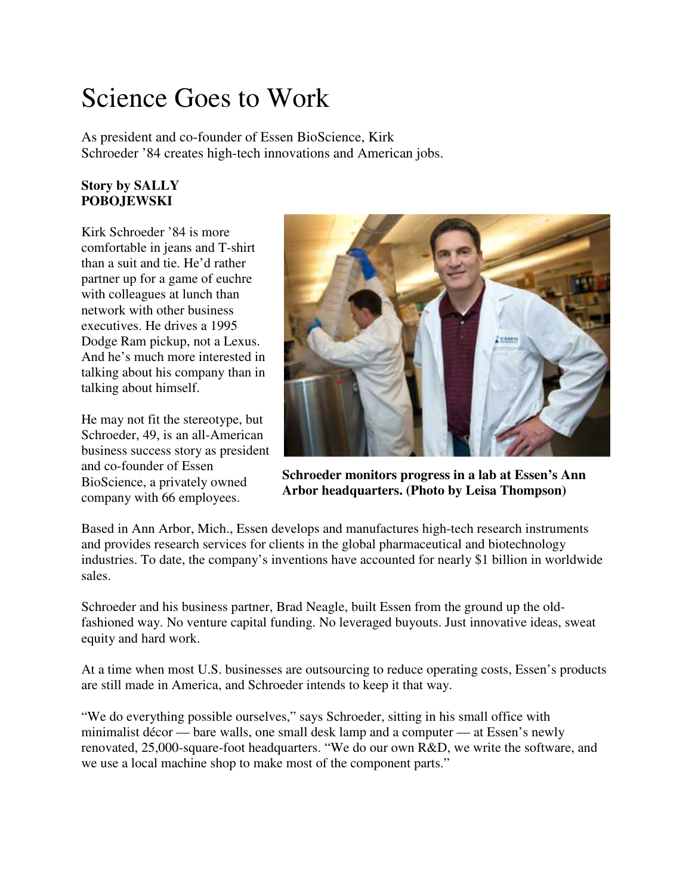# Science Goes to Work

As president and co-founder of Essen BioScience, Kirk Schroeder '84 creates high-tech innovations and American jobs.

### **Story by SALLY POBOJEWSKI**

Kirk Schroeder '84 is more comfortable in jeans and T-shirt than a suit and tie. He'd rather partner up for a game of euchre with colleagues at lunch than network with other business executives. He drives a 1995 Dodge Ram pickup, not a Lexus. And he's much more interested in talking about his company than in talking about himself.

He may not fit the stereotype, but Schroeder, 49, is an all-American business success story as president and co-founder of Essen BioScience, a privately owned company with 66 employees.



**Schroeder monitors progress in a lab at Essen's Ann Arbor headquarters. (Photo by Leisa Thompson)**

Based in Ann Arbor, Mich., Essen develops and manufactures high-tech research instruments and provides research services for clients in the global pharmaceutical and biotechnology industries. To date, the company's inventions have accounted for nearly \$1 billion in worldwide sales.

Schroeder and his business partner, Brad Neagle, built Essen from the ground up the oldfashioned way. No venture capital funding. No leveraged buyouts. Just innovative ideas, sweat equity and hard work.

At a time when most U.S. businesses are outsourcing to reduce operating costs, Essen's products are still made in America, and Schroeder intends to keep it that way.

"We do everything possible ourselves," says Schroeder, sitting in his small office with minimalist décor — bare walls, one small desk lamp and a computer — at Essen's newly renovated, 25,000-square-foot headquarters. "We do our own R&D, we write the software, and we use a local machine shop to make most of the component parts."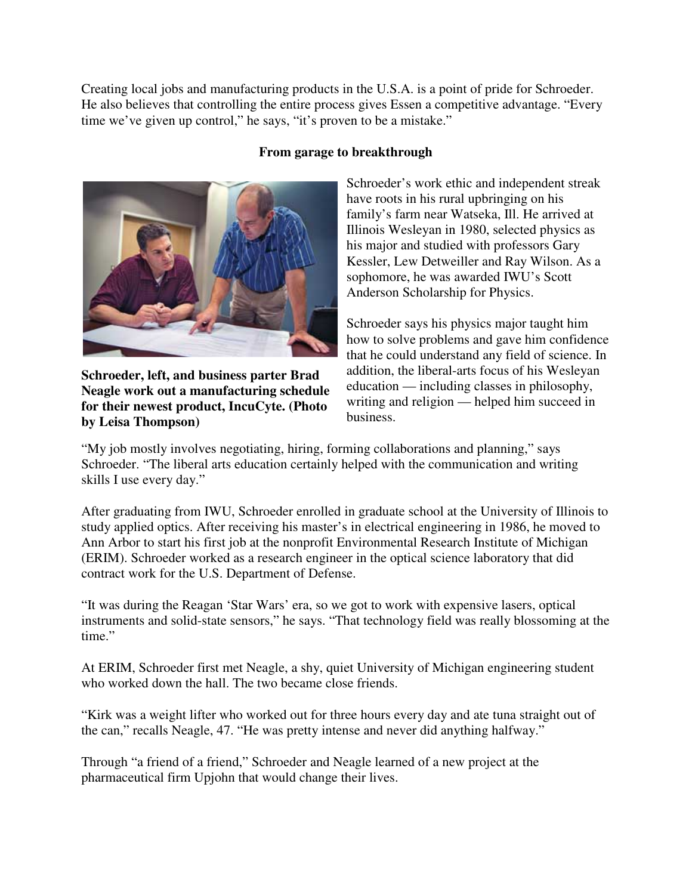Creating local jobs and manufacturing products in the U.S.A. is a point of pride for Schroeder. He also believes that controlling the entire process gives Essen a competitive advantage. "Every time we've given up control," he says, "it's proven to be a mistake."



## **From garage to breakthrough**

Schroeder's work ethic and independent streak have roots in his rural upbringing on his family's farm near Watseka, Ill. He arrived at Illinois Wesleyan in 1980, selected physics as his major and studied with professors Gary Kessler, Lew Detweiller and Ray Wilson. As a sophomore, he was awarded IWU's Scott Anderson Scholarship for Physics.

Schroeder says his physics major taught him how to solve problems and gave him confidence that he could understand any field of science. In addition, the liberal-arts focus of his Wesleyan education — including classes in philosophy, writing and religion — helped him succeed in business.

**Schroeder, left, and business parter Brad Neagle work out a manufacturing schedule for their newest product, IncuCyte. (Photo by Leisa Thompson)**

"My job mostly involves negotiating, hiring, forming collaborations and planning," says Schroeder. "The liberal arts education certainly helped with the communication and writing skills I use every day."

After graduating from IWU, Schroeder enrolled in graduate school at the University of Illinois to study applied optics. After receiving his master's in electrical engineering in 1986, he moved to Ann Arbor to start his first job at the nonprofit Environmental Research Institute of Michigan (ERIM). Schroeder worked as a research engineer in the optical science laboratory that did contract work for the U.S. Department of Defense.

"It was during the Reagan 'Star Wars' era, so we got to work with expensive lasers, optical instruments and solid-state sensors," he says. "That technology field was really blossoming at the time."

At ERIM, Schroeder first met Neagle, a shy, quiet University of Michigan engineering student who worked down the hall. The two became close friends.

"Kirk was a weight lifter who worked out for three hours every day and ate tuna straight out of the can," recalls Neagle, 47. "He was pretty intense and never did anything halfway."

Through "a friend of a friend," Schroeder and Neagle learned of a new project at the pharmaceutical firm Upjohn that would change their lives.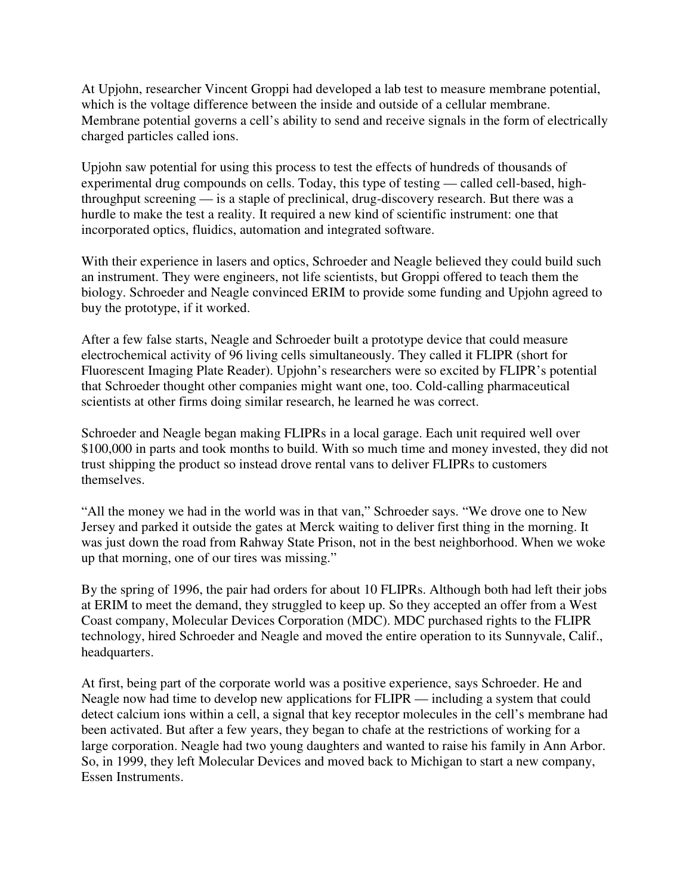At Upjohn, researcher Vincent Groppi had developed a lab test to measure membrane potential, which is the voltage difference between the inside and outside of a cellular membrane. Membrane potential governs a cell's ability to send and receive signals in the form of electrically charged particles called ions.

Upjohn saw potential for using this process to test the effects of hundreds of thousands of experimental drug compounds on cells. Today, this type of testing — called cell-based, highthroughput screening — is a staple of preclinical, drug-discovery research. But there was a hurdle to make the test a reality. It required a new kind of scientific instrument: one that incorporated optics, fluidics, automation and integrated software.

With their experience in lasers and optics, Schroeder and Neagle believed they could build such an instrument. They were engineers, not life scientists, but Groppi offered to teach them the biology. Schroeder and Neagle convinced ERIM to provide some funding and Upjohn agreed to buy the prototype, if it worked.

After a few false starts, Neagle and Schroeder built a prototype device that could measure electrochemical activity of 96 living cells simultaneously. They called it FLIPR (short for Fluorescent Imaging Plate Reader). Upjohn's researchers were so excited by FLIPR's potential that Schroeder thought other companies might want one, too. Cold-calling pharmaceutical scientists at other firms doing similar research, he learned he was correct.

Schroeder and Neagle began making FLIPRs in a local garage. Each unit required well over \$100,000 in parts and took months to build. With so much time and money invested, they did not trust shipping the product so instead drove rental vans to deliver FLIPRs to customers themselves.

"All the money we had in the world was in that van," Schroeder says. "We drove one to New Jersey and parked it outside the gates at Merck waiting to deliver first thing in the morning. It was just down the road from Rahway State Prison, not in the best neighborhood. When we woke up that morning, one of our tires was missing."

By the spring of 1996, the pair had orders for about 10 FLIPRs. Although both had left their jobs at ERIM to meet the demand, they struggled to keep up. So they accepted an offer from a West Coast company, Molecular Devices Corporation (MDC). MDC purchased rights to the FLIPR technology, hired Schroeder and Neagle and moved the entire operation to its Sunnyvale, Calif., headquarters.

At first, being part of the corporate world was a positive experience, says Schroeder. He and Neagle now had time to develop new applications for FLIPR — including a system that could detect calcium ions within a cell, a signal that key receptor molecules in the cell's membrane had been activated. But after a few years, they began to chafe at the restrictions of working for a large corporation. Neagle had two young daughters and wanted to raise his family in Ann Arbor. So, in 1999, they left Molecular Devices and moved back to Michigan to start a new company, Essen Instruments.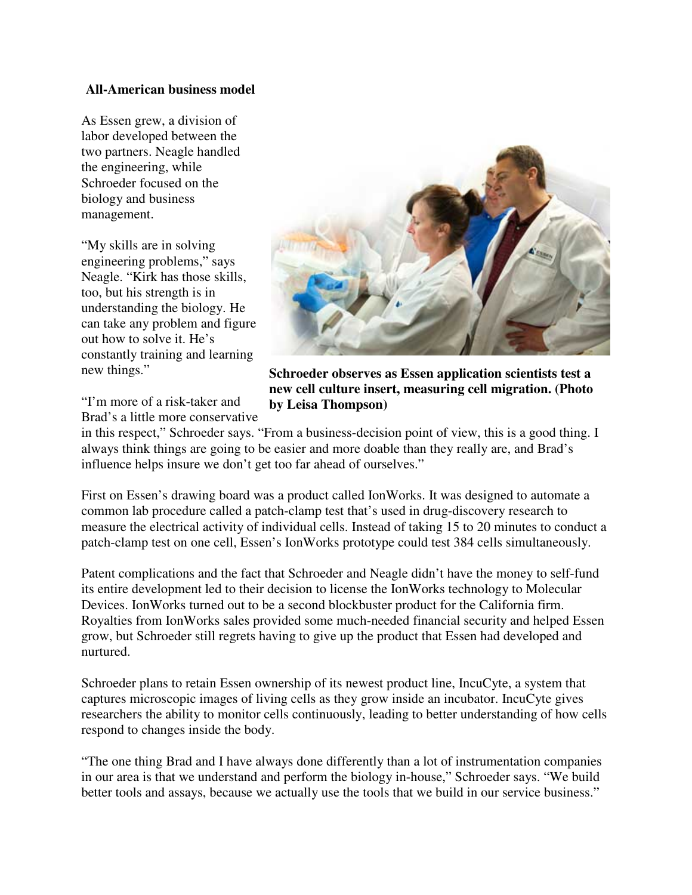#### **All-American business model**

As Essen grew, a division of labor developed between the two partners. Neagle handled the engineering, while Schroeder focused on the biology and business management.

"My skills are in solving engineering problems," says Neagle. "Kirk has those skills, too, but his strength is in understanding the biology. He can take any problem and figure out how to solve it. He's constantly training and learning new things."

"I'm more of a risk-taker and Brad's a little more conservative



**Schroeder observes as Essen application scientists test a new cell culture insert, measuring cell migration. (Photo by Leisa Thompson)**

in this respect," Schroeder says. "From a business-decision point of view, this is a good thing. I always think things are going to be easier and more doable than they really are, and Brad's influence helps insure we don't get too far ahead of ourselves."

First on Essen's drawing board was a product called IonWorks. It was designed to automate a common lab procedure called a patch-clamp test that's used in drug-discovery research to measure the electrical activity of individual cells. Instead of taking 15 to 20 minutes to conduct a patch-clamp test on one cell, Essen's IonWorks prototype could test 384 cells simultaneously.

Patent complications and the fact that Schroeder and Neagle didn't have the money to self-fund its entire development led to their decision to license the IonWorks technology to Molecular Devices. IonWorks turned out to be a second blockbuster product for the California firm. Royalties from IonWorks sales provided some much-needed financial security and helped Essen grow, but Schroeder still regrets having to give up the product that Essen had developed and nurtured.

Schroeder plans to retain Essen ownership of its newest product line, IncuCyte, a system that captures microscopic images of living cells as they grow inside an incubator. IncuCyte gives researchers the ability to monitor cells continuously, leading to better understanding of how cells respond to changes inside the body.

"The one thing Brad and I have always done differently than a lot of instrumentation companies in our area is that we understand and perform the biology in-house," Schroeder says. "We build better tools and assays, because we actually use the tools that we build in our service business."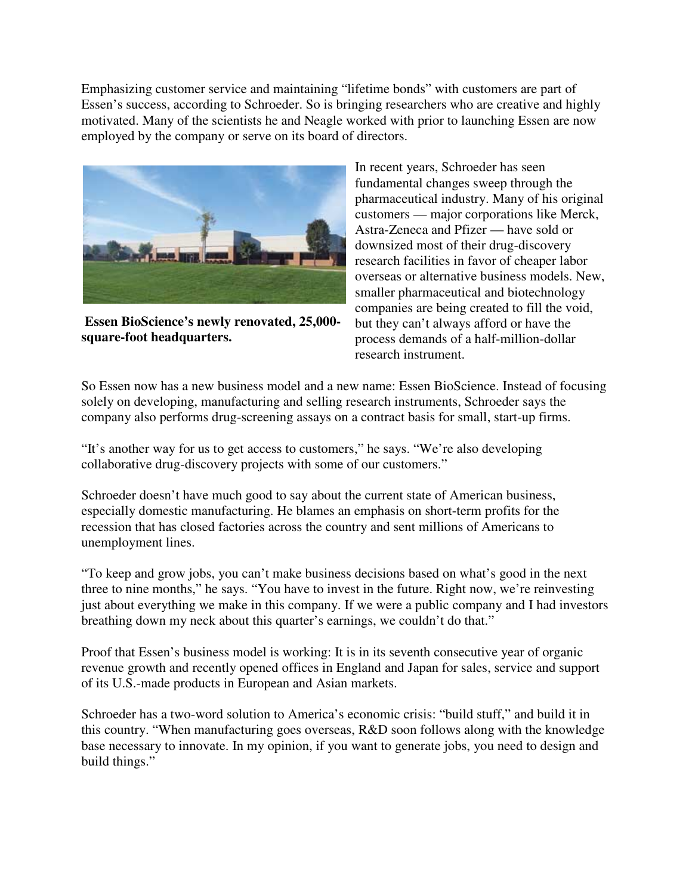Emphasizing customer service and maintaining "lifetime bonds" with customers are part of Essen's success, according to Schroeder. So is bringing researchers who are creative and highly motivated. Many of the scientists he and Neagle worked with prior to launching Essen are now employed by the company or serve on its board of directors.



 **Essen BioScience's newly renovated, 25,000 square-foot headquarters.**

In recent years, Schroeder has seen fundamental changes sweep through the pharmaceutical industry. Many of his original customers — major corporations like Merck, Astra-Zeneca and Pfizer — have sold or downsized most of their drug-discovery research facilities in favor of cheaper labor overseas or alternative business models. New, smaller pharmaceutical and biotechnology companies are being created to fill the void, but they can't always afford or have the process demands of a half-million-dollar research instrument.

So Essen now has a new business model and a new name: Essen BioScience. Instead of focusing solely on developing, manufacturing and selling research instruments, Schroeder says the company also performs drug-screening assays on a contract basis for small, start-up firms.

"It's another way for us to get access to customers," he says. "We're also developing collaborative drug-discovery projects with some of our customers."

Schroeder doesn't have much good to say about the current state of American business, especially domestic manufacturing. He blames an emphasis on short-term profits for the recession that has closed factories across the country and sent millions of Americans to unemployment lines.

"To keep and grow jobs, you can't make business decisions based on what's good in the next three to nine months," he says. "You have to invest in the future. Right now, we're reinvesting just about everything we make in this company. If we were a public company and I had investors breathing down my neck about this quarter's earnings, we couldn't do that."

Proof that Essen's business model is working: It is in its seventh consecutive year of organic revenue growth and recently opened offices in England and Japan for sales, service and support of its U.S.-made products in European and Asian markets.

Schroeder has a two-word solution to America's economic crisis: "build stuff," and build it in this country. "When manufacturing goes overseas, R&D soon follows along with the knowledge base necessary to innovate. In my opinion, if you want to generate jobs, you need to design and build things."